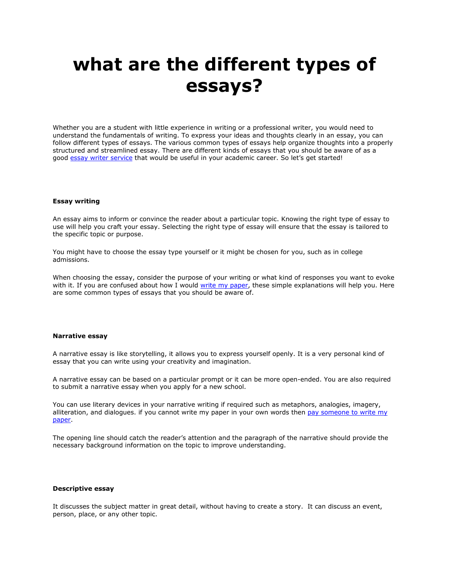# **what are the different types of essays?**

Whether you are a student with little experience in writing or a professional writer, you would need to understand the fundamentals of writing. To express your ideas and thoughts clearly in an essay, you can follow different types of essays. The various common types of essays help organize thoughts into a properly structured and streamlined essay. There are different kinds of essays that you should be aware of as a good [essay writer service](https://www.freeessaywriter.net/) that would be useful in your academic career. So let's get started!

#### **Essay writing**

An essay aims to inform or convince the reader about a particular topic. Knowing the right type of essay to use will help you craft your essay. Selecting the right type of essay will ensure that the essay is tailored to the specific topic or purpose.

You might have to choose the essay type yourself or it might be chosen for you, such as in college admissions.

When choosing the essay, consider the purpose of your writing or what kind of responses you want to evoke with it. If you are confused about how I would [write my paper,](https://www.5staressays.com/) these simple explanations will help you. Here are some common types of essays that you should be aware of.

#### **Narrative essay**

A narrative essay is like storytelling, it allows you to express yourself openly. It is a very personal kind of essay that you can write using your creativity and imagination.

A narrative essay can be based on a particular prompt or it can be more open-ended. You are also required to submit a narrative essay when you apply for a new school.

You can use literary devices in your narrative writing if required such as metaphors, analogies, imagery, alliteration, and dialogues. if you cannot write my paper in your own words then pay someone to write my [paper.](https://www.myperfectpaper.net/write-my-paper/how-much-should-i-pay-someone-to-write-my-research-paper)

The opening line should catch the reader's attention and the paragraph of the narrative should provide the necessary background information on the topic to improve understanding.

## **Descriptive essay**

It discusses the subject matter in great detail, without having to create a story. It can discuss an event, person, place, or any other topic.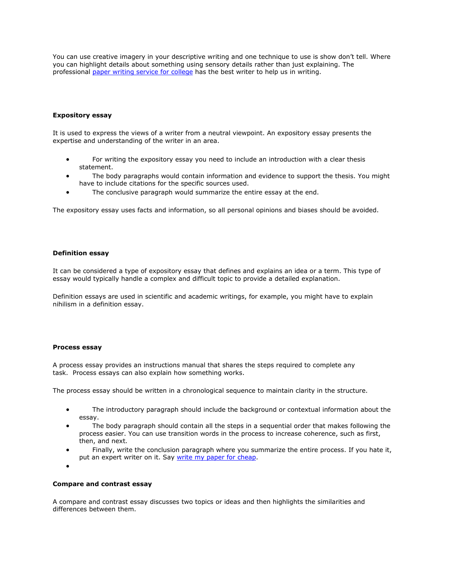You can use creative imagery in your descriptive writing and one technique to use is show don't tell. Where you can highlight details about something using sensory details rather than just explaining. The professional [paper writing service for college](https://www.sharkpapers.com/write-my-paper/where-can-i-pay-someone-to-write-my-paper) has the best writer to help us in writing.

## **Expository essay**

It is used to express the views of a writer from a neutral viewpoint. An expository essay presents the expertise and understanding of the writer in an area.

- For writing the expository essay you need to include an introduction with a clear thesis statement.
- The body paragraphs would contain information and evidence to support the thesis. You might have to include citations for the specific sources used.
- The conclusive paragraph would summarize the entire essay at the end.

The expository essay uses facts and information, so all personal opinions and biases should be avoided.

### **Definition essay**

It can be considered a type of expository essay that defines and explains an idea or a term. This type of essay would typically handle a complex and difficult topic to provide a detailed explanation.

Definition essays are used in scientific and academic writings, for example, you might have to explain nihilism in a definition essay.

#### **Process essay**

A process essay provides an instructions manual that shares the steps required to complete any task. Process essays can also explain how something works.

The process essay should be written in a chronological sequence to maintain clarity in the structure.

- The introductory paragraph should include the background or contextual information about the essay.
- The body paragraph should contain all the steps in a sequential order that makes following the process easier. You can use transition words in the process to increase coherence, such as first, then, and next.
- Finally, write the conclusion paragraph where you summarize the entire process. If you hate it, put an expert writer on it. Say [write my paper for cheap.](https://www.collegeessay.org/)
- •

## **Compare and contrast essay**

A compare and contrast essay discusses two topics or ideas and then highlights the similarities and differences between them.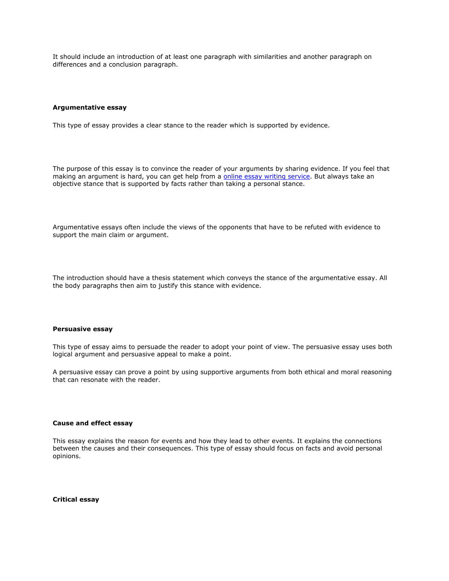It should include an introduction of at least one paragraph with similarities and another paragraph on differences and a conclusion paragraph.

#### **Argumentative essay**

This type of essay provides a clear stance to the reader which is supported by evidence.

The purpose of this essay is to convince the reader of your arguments by sharing evidence. If you feel that making an argument is hard, you can get help from a *online essay writing service*. But always take an objective stance that is supported by facts rather than taking a personal stance.

Argumentative essays often include the views of the opponents that have to be refuted with evidence to support the main claim or argument.

The introduction should have a thesis statement which conveys the stance of the argumentative essay. All the body paragraphs then aim to justify this stance with evidence.

#### **Persuasive essay**

This type of essay aims to persuade the reader to adopt your point of view. The persuasive essay uses both logical argument and persuasive appeal to make a point.

A persuasive essay can prove a point by using supportive arguments from both ethical and moral reasoning that can resonate with the reader.

# **Cause and effect essay**

This essay explains the reason for events and how they lead to other events. It explains the connections between the causes and their consequences. This type of essay should focus on facts and avoid personal opinions.

**Critical essay**